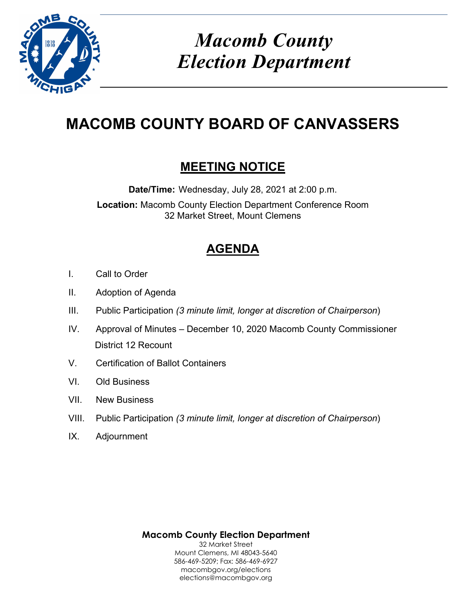

# *Macomb County Election Department*

# **MACOMB COUNTY BOARD OF CANVASSERS**

## **MEETING NOTICE**

**Date/Time:** Wednesday, July 28, 2021 at 2:00 p.m. **Location:** Macomb County Election Department Conference Room 32 Market Street, Mount Clemens

## **AGENDA**

- I. Call to Order
- II. Adoption of Agenda
- III. Public Participation *(3 minute limit, longer at discretion of Chairperson*)
- IV. Approval of Minutes December 10, 2020 Macomb County Commissioner District 12 Recount
- V. Certification of Ballot Containers
- VI. Old Business
- VII. New Business
- VIII. Public Participation *(3 minute limit, longer at discretion of Chairperson*)
- IX. Adjournment

**Macomb County Election Department** 32 Market Street Mount Clemens, MI 48043-5640 586-469-5209; Fax: 586-469-6927 macombgov.org/elections elections@macombgov.org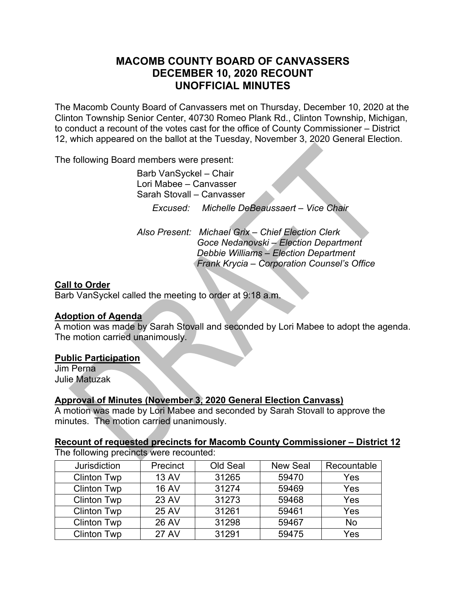### **MACOMB COUNTY BOARD OF CANVASSERS DECEMBER 10, 2020 RECOUNT UNOFFICIAL MINUTES**

The Macomb County Board of Canvassers met on Thursday, December 10, 2020 at the Clinton Township Senior Center, 40730 Romeo Plank Rd., Clinton Township, Michigan, to conduct a recount of the votes cast for the office of County Commissioner – District 12, which appeared on the ballot at the Tuesday, November 3, 2020 General Election.

The following Board members were present:

 Barb VanSyckel – Chair Lori Mabee – Canvasser Sarah Stovall – Canvasser  *Excused: Michelle DeBeaussaert – Vice Chair* 

*Also Present: Michael Grix – Chief Election Clerk Goce Nedanovski – Election Department Debbie Williams – Election Department Frank Krycia – Corporation Counsel's Office* 

#### **Call to Order**

Barb VanSyckel called the meeting to order at 9:18 a.m.

#### **Adoption of Agenda**

A motion was made by Sarah Stovall and seconded by Lori Mabee to adopt the agenda. The motion carried unanimously.

#### **Public Participation**

Jim Perna Julie Matuzak

#### **Approval of Minutes (November 3, 2020 General Election Canvass)**

A motion was made by Lori Mabee and seconded by Sarah Stovall to approve the minutes. The motion carried unanimously.

### **Recount of requested precincts for Macomb County Commissioner – District 12**

The following precincts were recounted:

| Jurisdiction       | Precinct     | Old Seal | <b>New Seal</b> | Recountable |
|--------------------|--------------|----------|-----------------|-------------|
| <b>Clinton Twp</b> | <b>13 AV</b> | 31265    | 59470           | Yes         |
| <b>Clinton Twp</b> | <b>16 AV</b> | 31274    | 59469           | Yes         |
| <b>Clinton Twp</b> | 23 AV        | 31273    | 59468           | Yes         |
| <b>Clinton Twp</b> | <b>25 AV</b> | 31261    | 59461           | Yes         |
| <b>Clinton Twp</b> | <b>26 AV</b> | 31298    | 59467           | No          |
| <b>Clinton Twp</b> | <b>27 AV</b> | 31291    | 59475           | Yes         |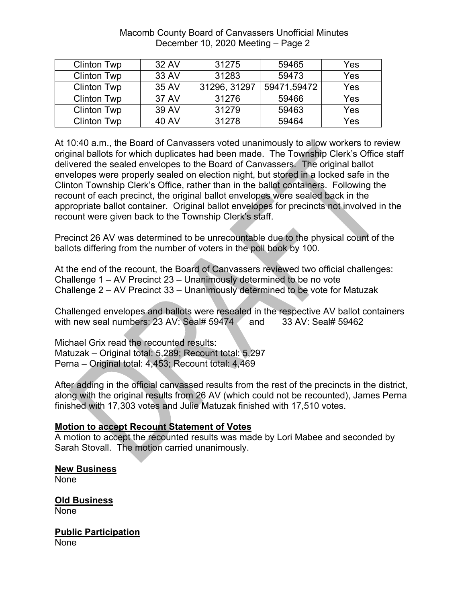| <b>Clinton Twp</b> | 32 AV        | 31275        | 59465       | Yes |
|--------------------|--------------|--------------|-------------|-----|
| <b>Clinton Twp</b> | 33 AV        | 31283        | 59473       | Yes |
| <b>Clinton Twp</b> | 35 AV        | 31296, 31297 | 59471,59472 | Yes |
| <b>Clinton Twp</b> | 37 AV        | 31276        | 59466       | Yes |
| <b>Clinton Twp</b> | 39 AV        | 31279        | 59463       | Yes |
| <b>Clinton Twp</b> | <b>40 AV</b> | 31278        | 59464       | Yes |

#### Macomb County Board of Canvassers Unofficial Minutes December 10, 2020 Meeting – Page 2

At 10:40 a.m., the Board of Canvassers voted unanimously to allow workers to review original ballots for which duplicates had been made. The Township Clerk's Office staff delivered the sealed envelopes to the Board of Canvassers. The original ballot envelopes were properly sealed on election night, but stored in a locked safe in the Clinton Township Clerk's Office, rather than in the ballot containers. Following the recount of each precinct, the original ballot envelopes were sealed back in the appropriate ballot container. Original ballot envelopes for precincts not involved in the recount were given back to the Township Clerk's staff.

Precinct 26 AV was determined to be unrecountable due to the physical count of the ballots differing from the number of voters in the poll book by 100.

At the end of the recount, the Board of Canvassers reviewed two official challenges: Challenge 1 – AV Precinct 23 – Unanimously determined to be no vote Challenge 2 – AV Precinct 33 – Unanimously determined to be vote for Matuzak

Challenged envelopes and ballots were resealed in the respective AV ballot containers with new seal numbers:  $23$  AV: Seal# 59474  $\arrow$  and 33 AV: Seal# 59462

Michael Grix read the recounted results: Matuzak – Original total: 5,289; Recount total: 5,297 Perna – Original total: 4,453; Recount total: 4,469

After adding in the official canvassed results from the rest of the precincts in the district, along with the original results from 26 AV (which could not be recounted), James Perna finished with 17,303 votes and Julie Matuzak finished with 17,510 votes.

#### **Motion to accept Recount Statement of Votes**

A motion to accept the recounted results was made by Lori Mabee and seconded by Sarah Stovall. The motion carried unanimously.

#### **New Business**  None

**Old Business**  None

**Public Participation None**